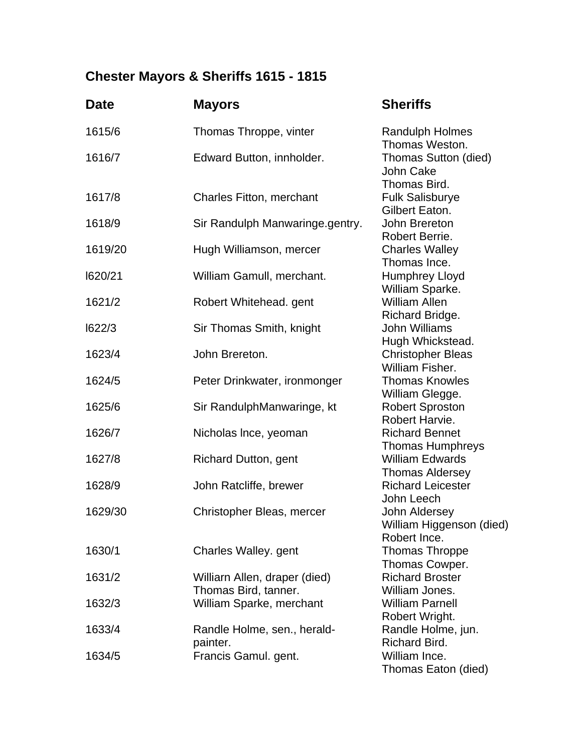## **Chester Mayors & Sheriffs 1615 - 1815**

| <b>Date</b> | <b>Mayors</b>                                    | <b>Sheriffs</b>                                                     |
|-------------|--------------------------------------------------|---------------------------------------------------------------------|
| 1615/6      | Thomas Throppe, vinter                           | <b>Randulph Holmes</b>                                              |
| 1616/7      | Edward Button, innholder.                        | Thomas Weston.<br>Thomas Sutton (died)<br>John Cake<br>Thomas Bird. |
| 1617/8      | Charles Fitton, merchant                         | <b>Fulk Salisburye</b><br>Gilbert Eaton.                            |
| 1618/9      | Sir Randulph Manwaringe.gentry.                  | John Brereton<br>Robert Berrie.                                     |
| 1619/20     | Hugh Williamson, mercer                          | <b>Charles Walley</b><br>Thomas Ince.                               |
| 1620/21     | William Gamull, merchant.                        | <b>Humphrey Lloyd</b><br>William Sparke.                            |
| 1621/2      | Robert Whitehead. gent                           | <b>William Allen</b><br>Richard Bridge.                             |
| 1622/3      | Sir Thomas Smith, knight                         | <b>John Williams</b>                                                |
| 1623/4      | John Brereton.                                   | Hugh Whickstead.<br><b>Christopher Bleas</b><br>William Fisher.     |
| 1624/5      | Peter Drinkwater, ironmonger                     | <b>Thomas Knowles</b>                                               |
| 1625/6      | Sir RandulphManwaringe, kt                       | William Glegge.<br><b>Robert Sproston</b>                           |
| 1626/7      | Nicholas Ince, yeoman                            | Robert Harvie.<br><b>Richard Bennet</b>                             |
| 1627/8      | <b>Richard Dutton, gent</b>                      | <b>Thomas Humphreys</b><br><b>William Edwards</b>                   |
| 1628/9      | John Ratcliffe, brewer                           | <b>Thomas Aldersey</b><br><b>Richard Leicester</b>                  |
| 1629/30     | Christopher Bleas, mercer                        | John Leech<br>John Aldersey<br>William Higgenson (died)             |
| 1630/1      | Charles Walley. gent                             | Robert Ince.<br><b>Thomas Throppe</b>                               |
| 1631/2      | Williarn Allen, draper (died)                    | Thomas Cowper.<br><b>Richard Broster</b>                            |
| 1632/3      | Thomas Bird, tanner.<br>William Sparke, merchant | William Jones.<br><b>William Parnell</b>                            |
| 1633/4      | Randle Holme, sen., herald-<br>painter.          | Robert Wright.<br>Randle Holme, jun.<br>Richard Bird.               |
| 1634/5      | Francis Gamul. gent.                             | William Ince.<br>Thomas Eaton (died)                                |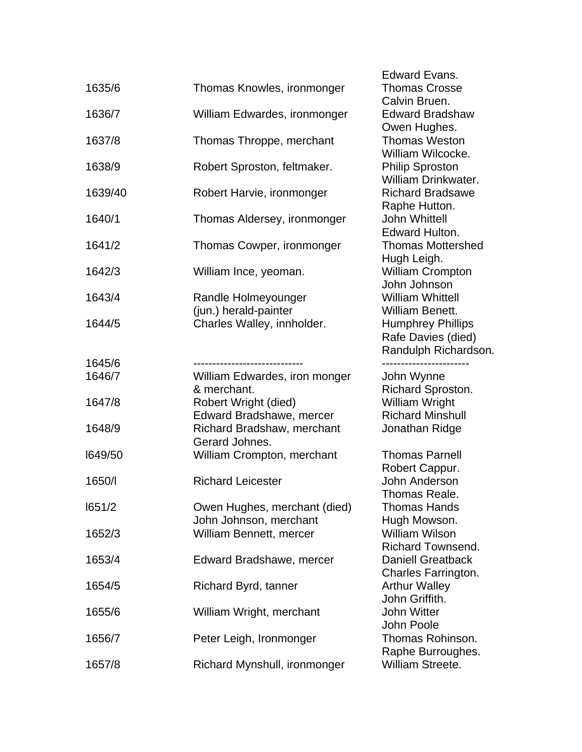|         |                               | <b>Edward Evans.</b>       |
|---------|-------------------------------|----------------------------|
| 1635/6  | Thomas Knowles, ironmonger    | <b>Thomas Crosse</b>       |
|         |                               | Calvin Bruen.              |
| 1636/7  | William Edwardes, ironmonger  | <b>Edward Bradshaw</b>     |
|         |                               | Owen Hughes.               |
| 1637/8  | Thomas Throppe, merchant      | <b>Thomas Weston</b>       |
|         |                               | William Wilcocke.          |
| 1638/9  | Robert Sproston, feltmaker.   | <b>Philip Sproston</b>     |
|         |                               | <b>William Drinkwater.</b> |
| 1639/40 | Robert Harvie, ironmonger     | <b>Richard Bradsawe</b>    |
|         |                               | Raphe Hutton.              |
| 1640/1  | Thomas Aldersey, ironmonger   | <b>John Whittell</b>       |
|         |                               | Edward Hulton.             |
| 1641/2  | Thomas Cowper, ironmonger     | <b>Thomas Mottershed</b>   |
|         |                               | Hugh Leigh.                |
| 1642/3  | William Ince, yeoman.         | <b>William Crompton</b>    |
|         |                               | John Johnson               |
| 1643/4  | Randle Holmeyounger           | <b>William Whittell</b>    |
|         | (jun.) herald-painter         | William Benett.            |
| 1644/5  | Charles Walley, innholder.    | <b>Humphrey Phillips</b>   |
|         |                               | Rafe Davies (died)         |
|         |                               | Randulph Richardson.       |
| 1645/6  |                               |                            |
| 1646/7  | William Edwardes, iron monger | John Wynne                 |
|         | & merchant.                   | Richard Sproston.          |
| 1647/8  | Robert Wright (died)          | <b>William Wright</b>      |
|         | Edward Bradshawe, mercer      | <b>Richard Minshull</b>    |
| 1648/9  | Richard Bradshaw, merchant    | Jonathan Ridge             |
|         | Gerard Johnes.                |                            |
| 1649/50 | William Crompton, merchant    | <b>Thomas Parnell</b>      |
|         |                               | Robert Cappur.             |
| 1650/   | <b>Richard Leicester</b>      | John Anderson              |
|         |                               | Thomas Reale               |
| 1651/2  | Owen Hughes, merchant (died)  | <b>Thomas Hands</b>        |
|         | John Johnson, merchant        | Hugh Mowson.               |
| 1652/3  | William Bennett, mercer       | <b>William Wilson</b>      |
|         |                               | <b>Richard Townsend.</b>   |
| 1653/4  | Edward Bradshawe, mercer      | <b>Daniell Greatback</b>   |
|         |                               | Charles Farrington.        |
| 1654/5  | Richard Byrd, tanner          | <b>Arthur Walley</b>       |
|         |                               | John Griffith.             |
| 1655/6  | William Wright, merchant      | <b>John Witter</b>         |
|         |                               | John Poole                 |
| 1656/7  | Peter Leigh, Ironmonger       | Thomas Rohinson.           |
|         |                               | Raphe Burroughes.          |
| 1657/8  | Richard Mynshull, ironmonger  | William Streete.           |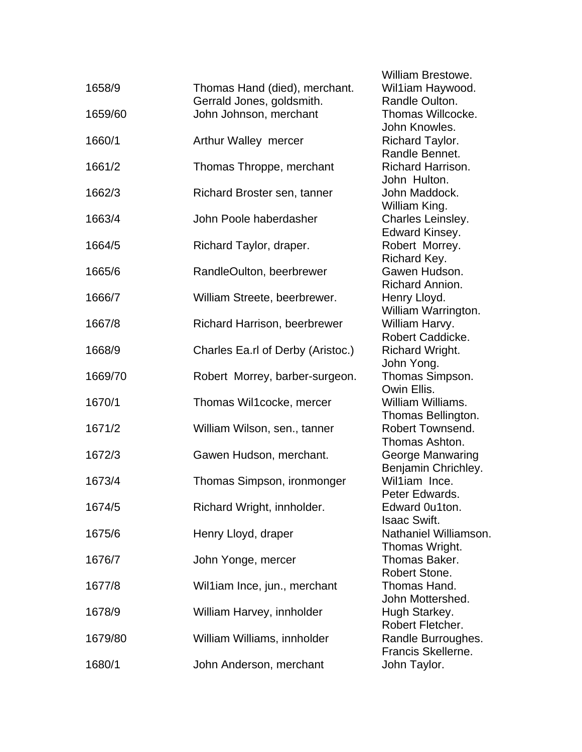| 1658/9  | Thomas Hand (died), merchant.       | VVIII<br>Wil1      |
|---------|-------------------------------------|--------------------|
|         | Gerrald Jones, goldsmith.           | Ran                |
| 1659/60 | John Johnson, merchant              | Tho                |
|         |                                     | Joh                |
| 1660/1  | Arthur Walley mercer                | <b>Rich</b>        |
| 1661/2  | Thomas Throppe, merchant            | Ran<br>Rich        |
|         |                                     | Johi               |
| 1662/3  | Richard Broster sen, tanner         | Johi               |
|         |                                     | Willi              |
| 1663/4  | John Poole haberdasher              | Cha                |
|         |                                     | Edw                |
| 1664/5  | Richard Taylor, draper.             | Rob<br><b>Rich</b> |
| 1665/6  | RandleOulton, beerbrewer            | Gav                |
|         |                                     | Rich               |
| 1666/7  | William Streete, beerbrewer.        | Hen                |
|         |                                     | Willi              |
| 1667/8  | <b>Richard Harrison, beerbrewer</b> | Willi              |
| 1668/9  | Charles Ea.rl of Derby (Aristoc.)   | Rob<br><b>Rich</b> |
|         |                                     | Johi               |
| 1669/70 | Robert Morrey, barber-surgeon.      | Tho                |
|         |                                     | Owi                |
| 1670/1  | Thomas Wil1cocke, mercer            | Willi              |
|         |                                     | Tho                |
| 1671/2  | William Wilson, sen., tanner        | Rob                |
| 1672/3  | Gawen Hudson, merchant.             | Tho<br>Gec         |
|         |                                     | Ben                |
| 1673/4  | Thomas Simpson, ironmonger          | Wil1               |
|         |                                     | Pete               |
| 1674/5  | Richard Wright, innholder.          | Edw                |
|         |                                     | Isaa               |
| 1675/6  | Henry Lloyd, draper                 | Natl<br>Tho        |
| 1676/7  | John Yonge, mercer                  | Tho                |
|         |                                     | Rob                |
| 1677/8  | Wil1iam Ince, jun., merchant        | Tho                |
|         |                                     | Johi               |
| 1678/9  | William Harvey, innholder           | Hug                |
|         |                                     | Rob                |
| 1679/80 | William Williams, innholder         | Ran<br>Frar        |
| 1680/1  | John Anderson, merchant             | Johi               |
|         |                                     |                    |

 William Brestowe. iam Haywood. dle Oulton. mas Willcocke. n Knowles. hard Taylor. dle Bennet. hard Harrison. n Hulton. n Maddock. iam King. Irles Leinsley. vard Kinsey. ert Morrey. hard Key. ven Hudson. hard Annion. ry Lloyd. iam Warrington. iam Harvy. ert Caddicke. hard Wright. n Yong. mas Simpson.  $in$  Fllis. iam Williams. mas Bellington. ert Townsend. mas Ashton. orge Manwaring ijamin Chrichley. liam Ince. er Edwards. vard 0u1ton. ac Swift. haniel Williamson. mas Wright. mas Baker. ert Stone. mas Hand. n Mottershed. th Starkey. ert Fletcher. Idle Burroughes. ncis Skellerne. n Taylor.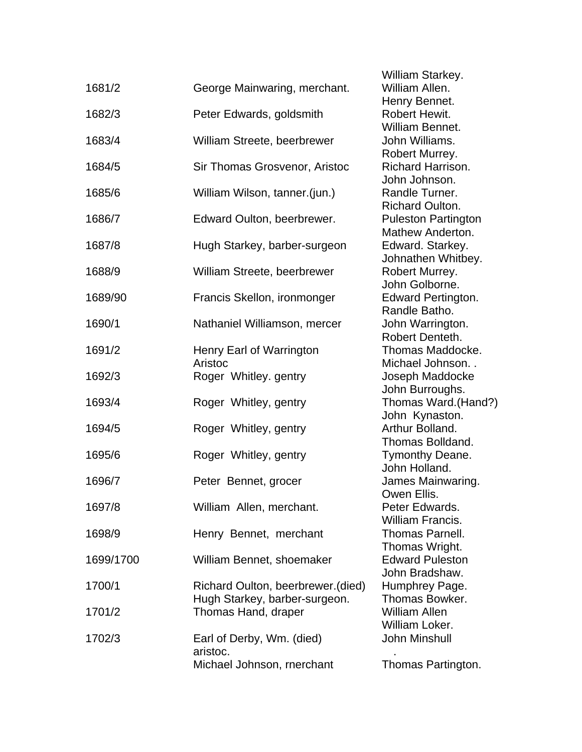|           |                                    | <i>vvilliam Starkey.</i>  |
|-----------|------------------------------------|---------------------------|
| 1681/2    | George Mainwaring, merchant.       | William Allen.            |
|           |                                    | Henry Bennet.             |
| 1682/3    | Peter Edwards, goldsmith           | Robert Hewit.             |
|           |                                    | William Bennet.           |
| 1683/4    | William Streete, beerbrewer        | John Williams.            |
|           |                                    | Robert Murrey.            |
| 1684/5    | Sir Thomas Grosvenor, Aristoc      | Richard Harrison.         |
|           |                                    | John Johnson.             |
| 1685/6    | William Wilson, tanner.(jun.)      | Randle Turner.            |
|           |                                    | <b>Richard Oulton.</b>    |
| 1686/7    | Edward Oulton, beerbrewer.         | <b>Puleston Partingto</b> |
|           |                                    | Mathew Anderton.          |
| 1687/8    | Hugh Starkey, barber-surgeon       | Edward. Starkey.          |
|           |                                    | Johnathen Whitbe          |
| 1688/9    | William Streete, beerbrewer        | Robert Murrey.            |
|           |                                    | John Golborne.            |
| 1689/90   | Francis Skellon, ironmonger        | <b>Edward Pertington</b>  |
|           |                                    | Randle Batho.             |
| 1690/1    | Nathaniel Williamson, mercer       | John Warrington.          |
|           |                                    | Robert Denteth.           |
| 1691/2    | Henry Earl of Warrington           | Thomas Maddock            |
|           | Aristoc                            | Michael Johnson.          |
| 1692/3    | Roger Whitley. gentry              | Joseph Maddocke           |
|           |                                    | John Burroughs.           |
| 1693/4    | Roger Whitley, gentry              | Thomas Ward.(Ha           |
|           |                                    | John Kynaston.            |
| 1694/5    | Roger Whitley, gentry              | Arthur Bolland.           |
|           |                                    | Thomas Bolldand.          |
| 1695/6    | Roger Whitley, gentry              | Tymonthy Deane.           |
|           |                                    | John Holland.             |
| 1696/7    | Peter Bennet, grocer               | James Mainwaring          |
|           |                                    | Owen Ellis.               |
| 1697/8    | William Allen, merchant.           | Peter Edwards.            |
|           |                                    | William Francis.          |
| 1698/9    | Henry Bennet, merchant             | <b>Thomas Parnell.</b>    |
|           |                                    | Thomas Wright.            |
| 1699/1700 | William Bennet, shoemaker          | <b>Edward Puleston</b>    |
|           |                                    | John Bradshaw.            |
| 1700/1    | Richard Oulton, beerbrewer. (died) | Humphrey Page.            |
|           | Hugh Starkey, barber-surgeon.      | Thomas Bowker.            |
| 1701/2    | Thomas Hand, draper                | <b>William Allen</b>      |
|           |                                    | William Loker.            |
| 1702/3    | Earl of Derby, Wm. (died)          | <b>John Minshull</b>      |
|           | aristoc.                           |                           |
|           | Michael Johnson, rnerchant         | <b>Thomas Partingtor</b>  |

 William Starkey. larrison. nson. Julton. Partington **Inderton.** Starkey. n Whitbey. borne. ertington. atho. rington. enteth. Maddocke. ohnson. . laddocke oughs. Nard.(Hand?) aston. Bolldand. and. ainwaring. S. rancis. Vright. dshaw. Bowker. oker.

Partington.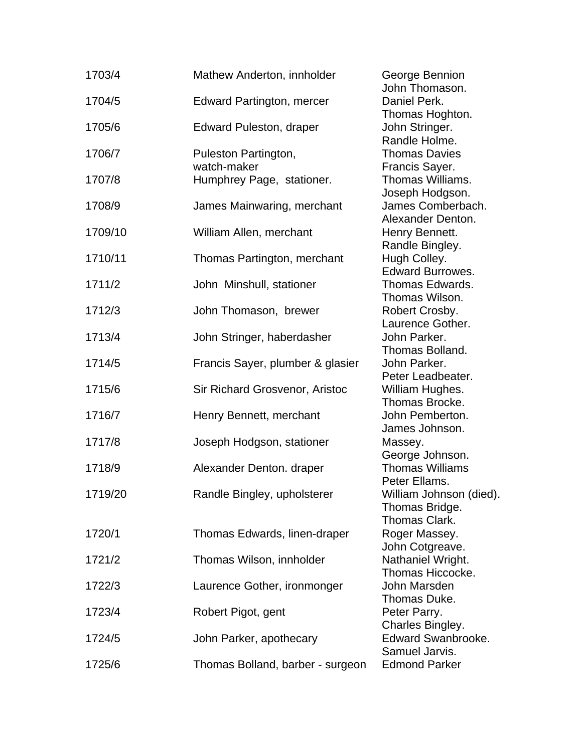| 1703/4  | Mathew Anderton, innholder          |        |
|---------|-------------------------------------|--------|
| 1704/5  | <b>Edward Partington, mercer</b>    |        |
| 1705/6  | <b>Edward Puleston, draper</b>      |        |
| 1706/7  | Puleston Partington,<br>watch-maker | F<br>F |
| 1707/8  | Humphrey Page, stationer.           |        |
| 1708/9  | James Mainwaring, merchant          |        |
| 1709/10 | William Allen, merchant             |        |
| 1710/11 | Thomas Partington, merchant         |        |
| 1711/2  | John Minshull, stationer            |        |
| 1712/3  | John Thomason, brewer               |        |
| 1713/4  | John Stringer, haberdasher          |        |
| 1714/5  | Francis Sayer, plumber & glasier    |        |
| 1715/6  | Sir Richard Grosvenor, Aristoc      |        |
| 1716/7  | Henry Bennett, merchant             |        |
| 1717/8  | Joseph Hodgson, stationer           | Ņ      |
| 1718/9  | Alexander Denton. draper            |        |
| 1719/20 | Randle Bingley, upholsterer         |        |
| 1720/1  | Thomas Edwards, linen-draper        | F      |
| 1721/2  | Thomas Wilson, innholder            |        |
| 1722/3  | Laurence Gother, ironmonger         | ľ      |
| 1723/4  |                                     |        |
|         | Robert Pigot, gent                  |        |
| 1724/5  | John Parker, apothecary             | ξ      |
| 1725/6  | Thomas Bolland, barber - surgeon    | E      |

3eorge Bennion John Thomason. Daniel Perk. Thomas Hoghton. John Stringer. Randle Holme. Thomas Davies Francis Sayer. Thomas Williams. Joseph Hodgson. James Comberbach. Alexander Denton. Henry Bennett. Randle Bingley. Hugh Colley. Edward Burrowes. Thomas Edwards. Thomas Wilson. Robert Crosby. Laurence Gother. John Parker. Thomas Bolland. John Parker. Peter Leadbeater. **Nilliam Hughes.**  Thomas Brocke. John Pemberton. James Johnson. Massey. George Johnson. Thomas Williams Peter Ellams. William Johnson (died). Thomas Bridge. Thomas Clark. Roger Massey. John Cotgreave. Vathaniel Wright. Thomas Hiccocke. John Marsden Thomas Duke. Peter Parry. Charles Bingley. Edward Swanbrooke. Samuel Jarvis. Edmond Parker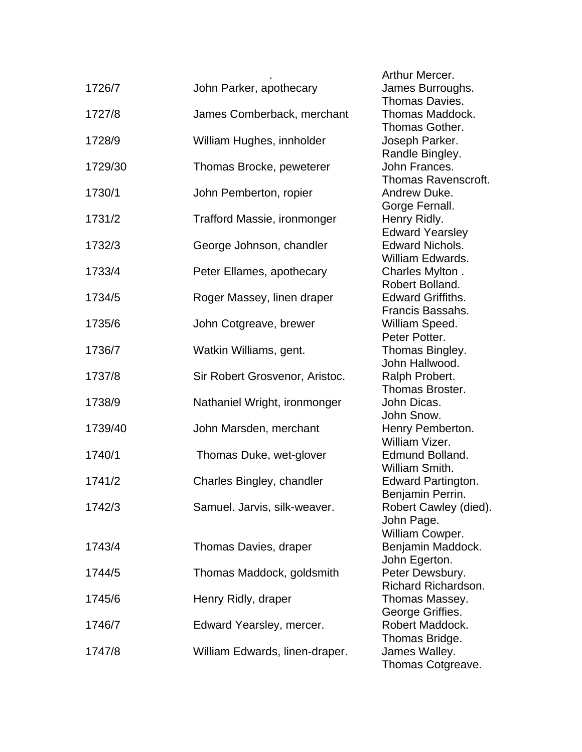| 1726/7  | John Parker, apothecary        |
|---------|--------------------------------|
| 1727/8  | James Comberback, merchant     |
| 1728/9  | William Hughes, innholder      |
| 1729/30 | Thomas Brocke, peweterer       |
| 1730/1  | John Pemberton, ropier         |
| 1731/2  | Trafford Massie, ironmonger    |
| 1732/3  | George Johnson, chandler       |
| 1733/4  | Peter Ellames, apothecary      |
| 1734/5  | Roger Massey, linen draper     |
| 1735/6  | John Cotgreave, brewer         |
| 1736/7  | Watkin Williams, gent.         |
| 1737/8  | Sir Robert Grosvenor, Aristoc. |
| 1738/9  | Nathaniel Wright, ironmonger   |
| 1739/40 | John Marsden, merchant         |
| 1740/1  | Thomas Duke, wet-glover        |
| 1741/2  | Charles Bingley, chandler      |
| 1742/3  | Samuel. Jarvis, silk-weaver.   |
| 1743/4  | Thomas Davies, draper          |
| 1744/5  | Thomas Maddock, goldsmith      |
| 1745/6  | Henry Ridly, draper            |
| 1746/7  | Edward Yearsley, mercer.       |
| 1747/8  | William Edwards, linen-draper. |

 . Arthur Mercer. James Burroughs. Thomas Davies. Thomas Maddock. Thomas Gother. Joseph Parker. Randle Bingley. John Frances. Thomas Ravenscroft. Andrew Duke. Gorge Fernall. Henry Ridly. Edward Yearsley Edward Nichols. William Edwards. Charles Mylton . Robert Bolland. **Edward Griffiths.**  Francis Bassahs. William Speed. Peter Potter. Thomas Bingley. John Hallwood. Ralph Probert. Thomas Broster. John Dicas. John Snow. Henry Pemberton. William Vizer. Edmund Bolland. William Smith. Edward Partington. Benjamin Perrin. Robert Cawley (died). John Page. William Cowper. Benjamin Maddock. John Egerton. Peter Dewsbury. Richard Richardson. Thomas Massey. George Griffies. Robert Maddock. Thomas Bridge. James Walley. Thomas Cotgreave.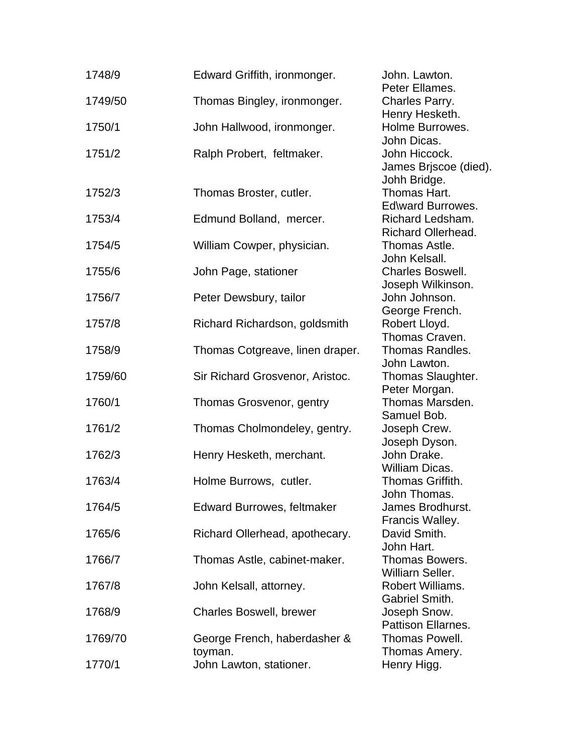| 1748/9  | Edward Griffith, ironmonger.            | John. Lawton.<br>Peter Ellames.                   |
|---------|-----------------------------------------|---------------------------------------------------|
| 1749/50 | Thomas Bingley, ironmonger.             | Charles Parry.<br>Henry Hesketh.                  |
| 1750/1  | John Hallwood, ironmonger.              | Holme Burrowes.<br>John Dicas.                    |
| 1751/2  | Ralph Probert, feltmaker.               | John Hiccock.<br>James Brjscoe (died).            |
| 1752/3  | Thomas Broster, cutler.                 | Johh Bridge.<br>Thomas Hart.<br>Ed\ward Burrowes. |
| 1753/4  | Edmund Bolland, mercer.                 | Richard Ledsham.<br><b>Richard Ollerhead.</b>     |
| 1754/5  | William Cowper, physician.              | Thomas Astle.<br>John Kelsall.                    |
| 1755/6  | John Page, stationer                    | <b>Charles Boswell.</b><br>Joseph Wilkinson.      |
| 1756/7  | Peter Dewsbury, tailor                  | John Johnson.<br>George French.                   |
| 1757/8  | Richard Richardson, goldsmith           | Robert Lloyd.<br>Thomas Craven.                   |
| 1758/9  | Thomas Cotgreave, linen draper.         | Thomas Randles.<br>John Lawton.                   |
| 1759/60 | Sir Richard Grosvenor, Aristoc.         | Thomas Slaughter.<br>Peter Morgan.                |
| 1760/1  | Thomas Grosvenor, gentry                | Thomas Marsden.<br>Samuel Bob.                    |
| 1761/2  | Thomas Cholmondeley, gentry.            | Joseph Crew.<br>Joseph Dyson.                     |
| 1762/3  | Henry Hesketh, merchant.                | John Drake.<br>William Dicas.                     |
| 1763/4  | Holme Burrows, cutler.                  | Thomas Griffith.<br>John Thomas.                  |
| 1764/5  | <b>Edward Burrowes, feltmaker</b>       | James Brodhurst.<br>Francis Walley.               |
| 1765/6  | Richard Ollerhead, apothecary.          | David Smith.<br>John Hart.                        |
| 1766/7  | Thomas Astle, cabinet-maker.            | Thomas Bowers.<br>Williarn Seller.                |
| 1767/8  | John Kelsall, attorney.                 | Robert Williams.<br>Gabriel Smith.                |
| 1768/9  | <b>Charles Boswell, brewer</b>          | Joseph Snow.<br>Pattison Ellarnes.                |
| 1769/70 | George French, haberdasher &<br>toyman. | Thomas Powell.<br>Thomas Amery.                   |
| 1770/1  | John Lawton, stationer.                 | Henry Higg.                                       |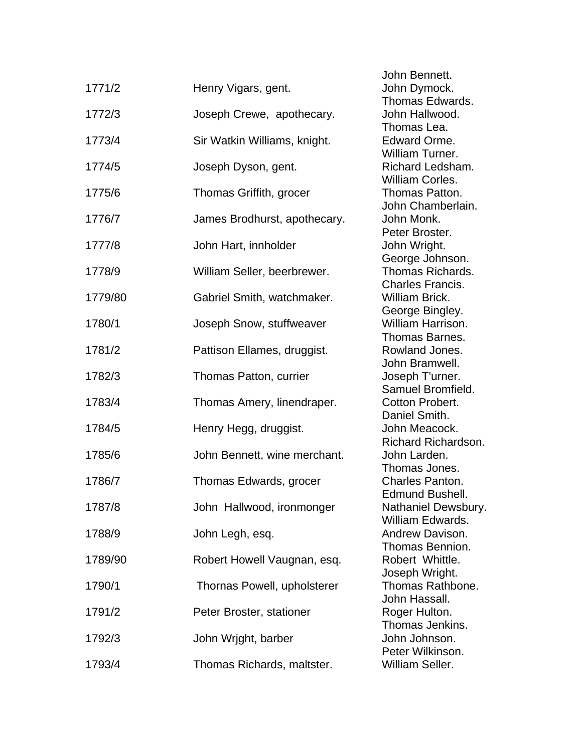| 1771/2  | Henry Vigars, gent.          |
|---------|------------------------------|
| 1772/3  | Joseph Crewe, apothecary.    |
| 1773/4  | Sir Watkin Williams, knight. |
| 1774/5  | Joseph Dyson, gent.          |
| 1775/6  | Thomas Griffith, grocer      |
| 1776/7  | James Brodhurst, apothecary. |
| 1777/8  | John Hart, innholder         |
| 1778/9  | William Seller, beerbrewer.  |
| 1779/80 | Gabriel Smith, watchmaker.   |
| 1780/1  | Joseph Snow, stuffweaver     |
| 1781/2  | Pattison Ellames, druggist.  |
| 1782/3  | Thomas Patton, currier       |
| 1783/4  | Thomas Amery, linendraper.   |
| 1784/5  | Henry Hegg, druggist.        |
| 1785/6  | John Bennett, wine merchant. |
| 1786/7  | Thomas Edwards, grocer       |
| 1787/8  | John Hallwood, ironmonger    |
| 1788/9  | John Legh, esq.              |
| 1789/90 | Robert Howell Vaugnan, esq.  |
| 1790/1  | Thornas Powell, upholsterer  |
| 1791/2  | Peter Broster, stationer     |
| 1792/3  | John Wright, barber          |
| 1793/4  | Thomas Richards, maltster.   |

 John Bennett. John Dymock. Thomas Edwards. John Hallwood. Thomas Lea. Edward Orme. William Turner. Richard Ledsham. William Corles. Thomas Patton. John Chamberlain. John Monk. Peter Broster. John Wright. George Johnson. Thomas Richards. Charles Francis. William Brick. George Bingley. William Harrison. Thomas Barnes. Rowland Jones. John Bramwell. Joseph T'urner. Samuel Bromfield. Cotton Probert. Daniel Smith. John Meacock. Richard Richardson. John Larden. Thomas Jones. Charles Panton. Edmund Bushell. Nathaniel Dewsbury. William Edwards. Andrew Davison. Thomas Bennion. Robert Whittle. Joseph Wright. Thomas Rathbone. John Hassall. Roger Hulton. Thomas Jenkins. John Johnson. Peter Wilkinson. William Seller.